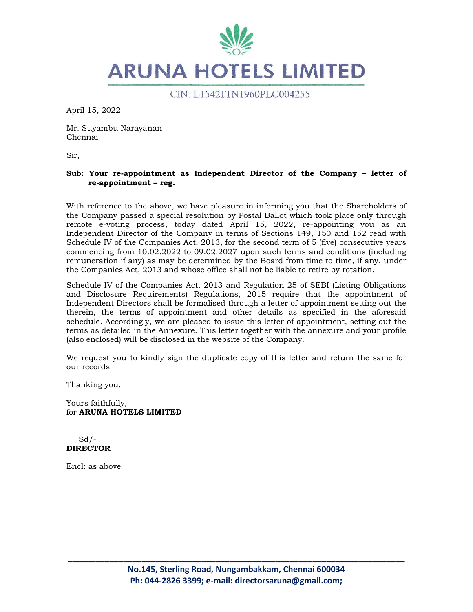

CIN: L15421TN1960PLC004255

April 15, 2022

Mr. Suyambu Narayanan Chennai

Sir,

#### **Sub: Your re-appointment as Independent Director of the Company – letter of re-appointment – reg.**  \_\_\_\_\_\_\_\_\_\_\_\_\_\_\_\_\_\_\_\_\_\_\_\_\_\_\_\_\_\_\_\_\_\_\_\_\_\_\_\_\_\_\_\_\_\_\_\_\_\_\_\_\_\_\_\_\_\_\_\_\_\_\_\_\_\_\_\_\_\_\_\_\_\_\_\_\_\_\_\_\_\_\_\_\_\_\_\_

With reference to the above, we have pleasure in informing you that the Shareholders of the Company passed a special resolution by Postal Ballot which took place only through remote e-voting process, today dated April 15, 2022, re-appointing you as an Independent Director of the Company in terms of Sections 149, 150 and 152 read with Schedule IV of the Companies Act, 2013, for the second term of 5 (five) consecutive years commencing from 10.02.2022 to 09.02.2027 upon such terms and conditions (including remuneration if any) as may be determined by the Board from time to time, if any, under the Companies Act, 2013 and whose office shall not be liable to retire by rotation.

Schedule IV of the Companies Act, 2013 and Regulation 25 of SEBI (Listing Obligations and Disclosure Requirements) Regulations, 2015 require that the appointment of Independent Directors shall be formalised through a letter of appointment setting out the therein, the terms of appointment and other details as specified in the aforesaid schedule. Accordingly, we are pleased to issue this letter of appointment, setting out the terms as detailed in the Annexure. This letter together with the annexure and your profile (also enclosed) will be disclosed in the website of the Company.

We request you to kindly sign the duplicate copy of this letter and return the same for our records

Thanking you,

Yours faithfully, for **ARUNA HOTELS LIMITED** 

 $Sd$  /-**DIRECTOR** 

Encl: as above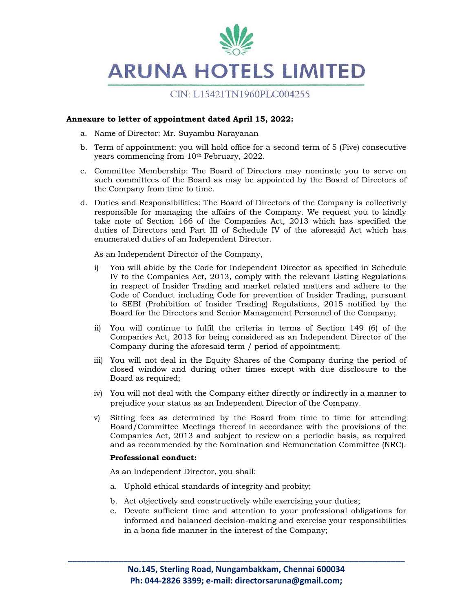

## CIN: L15421TN1960PLC004255

#### **Annexure to letter of appointment dated April 15, 2022:**

- a. Name of Director: Mr. Suyambu Narayanan
- b. Term of appointment: you will hold office for a second term of 5 (Five) consecutive years commencing from 10<sup>th</sup> February, 2022.
- c. Committee Membership: The Board of Directors may nominate you to serve on such committees of the Board as may be appointed by the Board of Directors of the Company from time to time.
- d. Duties and Responsibilities: The Board of Directors of the Company is collectively responsible for managing the affairs of the Company. We request you to kindly take note of Section 166 of the Companies Act, 2013 which has specified the duties of Directors and Part III of Schedule IV of the aforesaid Act which has enumerated duties of an Independent Director.

As an Independent Director of the Company,

- i) You will abide by the Code for Independent Director as specified in Schedule IV to the Companies Act, 2013, comply with the relevant Listing Regulations in respect of Insider Trading and market related matters and adhere to the Code of Conduct including Code for prevention of Insider Trading, pursuant to SEBI (Prohibition of Insider Trading) Regulations, 2015 notified by the Board for the Directors and Senior Management Personnel of the Company;
- ii) You will continue to fulfil the criteria in terms of Section 149 (6) of the Companies Act, 2013 for being considered as an Independent Director of the Company during the aforesaid term / period of appointment;
- iii) You will not deal in the Equity Shares of the Company during the period of closed window and during other times except with due disclosure to the Board as required;
- iv) You will not deal with the Company either directly or indirectly in a manner to prejudice your status as an Independent Director of the Company.
- v) Sitting fees as determined by the Board from time to time for attending Board/Committee Meetings thereof in accordance with the provisions of the Companies Act, 2013 and subject to review on a periodic basis, as required and as recommended by the Nomination and Remuneration Committee (NRC).

#### **Professional conduct:**

As an Independent Director, you shall:

- a. Uphold ethical standards of integrity and probity;
- b. Act objectively and constructively while exercising your duties;
- c. Devote sufficient time and attention to your professional obligations for informed and balanced decision-making and exercise your responsibilities in a bona fide manner in the interest of the Company;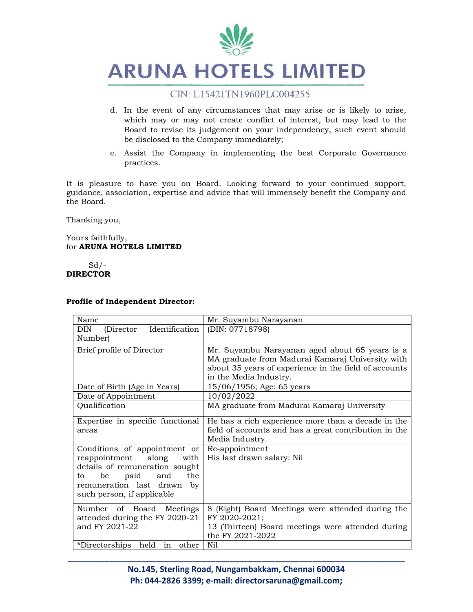

### CIN: L15421TN1960PLC004255

- d. In the event of any circumstances that may arise or is likely to arise, which may or may not create conflict of interest, but may lead to the Board to revise its judgement on your independency, such event should be disclosed to the Company immediately;
- e. Assist the Company in implementing the best Corporate Governance practices.

It is pleasure to have you on Board. Looking forward to your continued support, guidance, association, expertise and advice that will immensely benefit the Company and the Board.

Thanking you,

Yours faithfully, for **ARUNA HOTELS LIMITED** 

 $Sd$  /-**DIRECTOR** 

| <b>Profile of Independent Director:</b> |
|-----------------------------------------|
|-----------------------------------------|

| Name                                       | Mr. Suyambu Narayanan                                 |
|--------------------------------------------|-------------------------------------------------------|
| Identification<br><b>DIN</b><br>(Director) | (DIN: 07718798)                                       |
| Number)                                    |                                                       |
| Brief profile of Director                  | Mr. Suyambu Narayanan aged about 65 years is a        |
|                                            | MA graduate from Madurai Kamaraj University with      |
|                                            | about 35 years of experience in the field of accounts |
|                                            | in the Media Industry.                                |
| Date of Birth (Age in Years)               | 15/06/1956; Age: 65 years                             |
| Date of Appointment                        | 10/02/2022                                            |
| Qualification                              | MA graduate from Madurai Kamaraj University           |
| Expertise in specific functional           | He has a rich experience more than a decade in the    |
| areas                                      | field of accounts and has a great contribution in the |
|                                            | Media Industry.                                       |
| Conditions of appointment or               | Re-appointment                                        |
| along<br>reappointment<br>with             | His last drawn salary: Nil                            |
| details of remuneration sought             |                                                       |
| and<br>the<br>be<br>paid<br>to             |                                                       |
| remuneration last drawn<br>by              |                                                       |
| such person, if applicable                 |                                                       |
|                                            |                                                       |
| Number of Board<br>Meetings                | 8 (Eight) Board Meetings were attended during the     |
| attended during the FY 2020-21             | FY 2020-2021;                                         |
| and FY 2021-22                             | 13 (Thirteen) Board meetings were attended during     |
|                                            | the FY 2021-2022                                      |
| *Directorships held<br>in<br>other         | Nil                                                   |